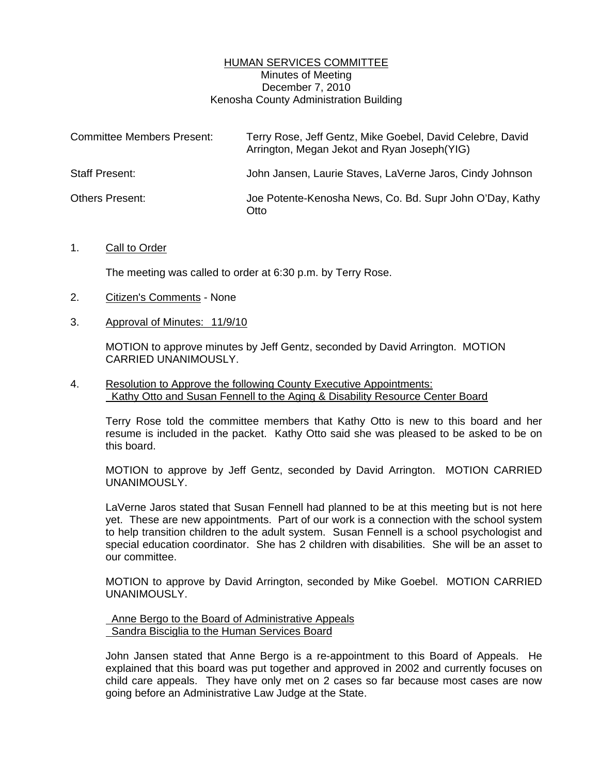# HUMAN SERVICES COMMITTEE Minutes of Meeting December 7, 2010 Kenosha County Administration Building

| <b>Committee Members Present:</b> | Terry Rose, Jeff Gentz, Mike Goebel, David Celebre, David<br>Arrington, Megan Jekot and Ryan Joseph (YIG) |
|-----------------------------------|-----------------------------------------------------------------------------------------------------------|
| <b>Staff Present:</b>             | John Jansen, Laurie Staves, LaVerne Jaros, Cindy Johnson                                                  |
| <b>Others Present:</b>            | Joe Potente-Kenosha News, Co. Bd. Supr John O'Day, Kathy<br>Otto                                          |

### 1. Call to Order

The meeting was called to order at 6:30 p.m. by Terry Rose.

- 2. Citizen's Comments None
- 3. Approval of Minutes: 11/9/10

 MOTION to approve minutes by Jeff Gentz, seconded by David Arrington. MOTION CARRIED UNANIMOUSLY.

4. Resolution to Approve the following County Executive Appointments: Kathy Otto and Susan Fennell to the Aging & Disability Resource Center Board

 Terry Rose told the committee members that Kathy Otto is new to this board and her resume is included in the packet. Kathy Otto said she was pleased to be asked to be on this board.

 MOTION to approve by Jeff Gentz, seconded by David Arrington. MOTION CARRIED UNANIMOUSLY.

 LaVerne Jaros stated that Susan Fennell had planned to be at this meeting but is not here yet. These are new appointments. Part of our work is a connection with the school system to help transition children to the adult system. Susan Fennell is a school psychologist and special education coordinator. She has 2 children with disabilities. She will be an asset to our committee.

 MOTION to approve by David Arrington, seconded by Mike Goebel. MOTION CARRIED UNANIMOUSLY.

 Anne Bergo to the Board of Administrative Appeals Sandra Bisciglia to the Human Services Board

 John Jansen stated that Anne Bergo is a re-appointment to this Board of Appeals. He explained that this board was put together and approved in 2002 and currently focuses on child care appeals. They have only met on 2 cases so far because most cases are now going before an Administrative Law Judge at the State.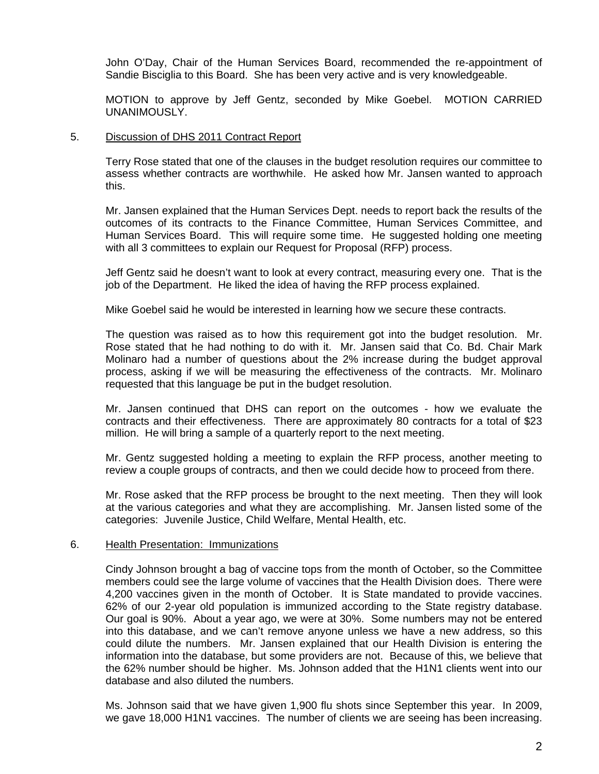John O'Day, Chair of the Human Services Board, recommended the re-appointment of Sandie Bisciglia to this Board. She has been very active and is very knowledgeable.

 MOTION to approve by Jeff Gentz, seconded by Mike Goebel. MOTION CARRIED UNANIMOUSLY.

## 5. Discussion of DHS 2011 Contract Report

 Terry Rose stated that one of the clauses in the budget resolution requires our committee to assess whether contracts are worthwhile. He asked how Mr. Jansen wanted to approach this.

 Mr. Jansen explained that the Human Services Dept. needs to report back the results of the outcomes of its contracts to the Finance Committee, Human Services Committee, and Human Services Board. This will require some time. He suggested holding one meeting with all 3 committees to explain our Request for Proposal (RFP) process.

 Jeff Gentz said he doesn't want to look at every contract, measuring every one. That is the job of the Department. He liked the idea of having the RFP process explained.

Mike Goebel said he would be interested in learning how we secure these contracts.

 The question was raised as to how this requirement got into the budget resolution. Mr. Rose stated that he had nothing to do with it. Mr. Jansen said that Co. Bd. Chair Mark Molinaro had a number of questions about the 2% increase during the budget approval process, asking if we will be measuring the effectiveness of the contracts. Mr. Molinaro requested that this language be put in the budget resolution.

 Mr. Jansen continued that DHS can report on the outcomes - how we evaluate the contracts and their effectiveness. There are approximately 80 contracts for a total of \$23 million. He will bring a sample of a quarterly report to the next meeting.

 Mr. Gentz suggested holding a meeting to explain the RFP process, another meeting to review a couple groups of contracts, and then we could decide how to proceed from there.

 Mr. Rose asked that the RFP process be brought to the next meeting. Then they will look at the various categories and what they are accomplishing. Mr. Jansen listed some of the categories: Juvenile Justice, Child Welfare, Mental Health, etc.

### 6. Health Presentation: Immunizations

 Cindy Johnson brought a bag of vaccine tops from the month of October, so the Committee members could see the large volume of vaccines that the Health Division does. There were 4,200 vaccines given in the month of October. It is State mandated to provide vaccines. 62% of our 2-year old population is immunized according to the State registry database. Our goal is 90%. About a year ago, we were at 30%. Some numbers may not be entered into this database, and we can't remove anyone unless we have a new address, so this could dilute the numbers. Mr. Jansen explained that our Health Division is entering the information into the database, but some providers are not. Because of this, we believe that the 62% number should be higher. Ms. Johnson added that the H1N1 clients went into our database and also diluted the numbers.

 Ms. Johnson said that we have given 1,900 flu shots since September this year. In 2009, we gave 18,000 H1N1 vaccines. The number of clients we are seeing has been increasing.